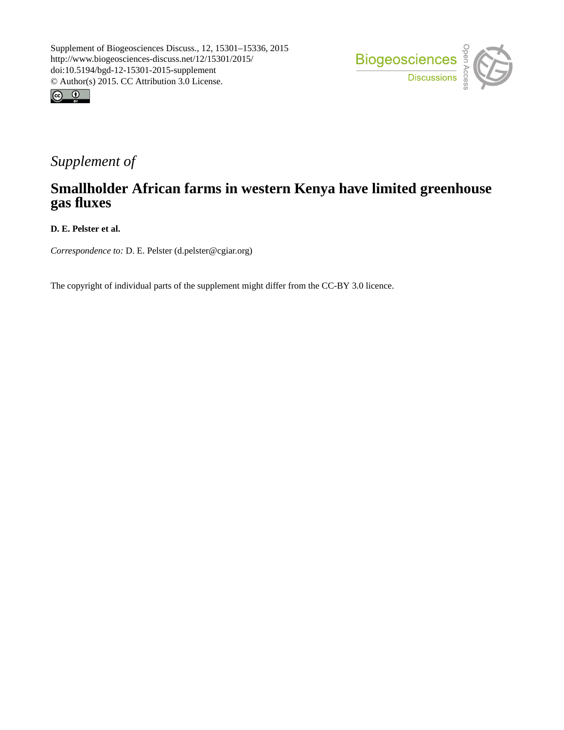



## *Supplement of*

## **Smallholder African farms in western Kenya have limited greenhouse gas fluxes**

**D. E. Pelster et al.**

*Correspondence to:* D. E. Pelster (d.pelster@cgiar.org)

The copyright of individual parts of the supplement might differ from the CC-BY 3.0 licence.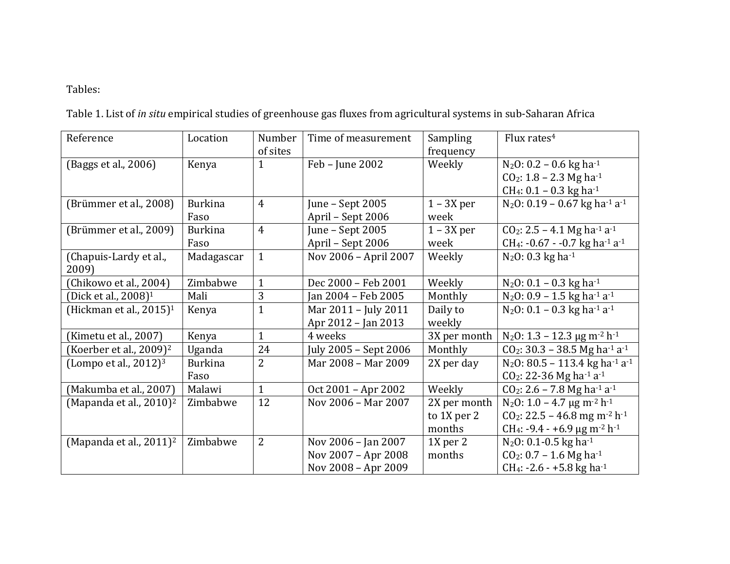## Tables:

Table 1. List of *in situ* empirical studies of greenhouse gas fluxes from agricultural systems in sub-Saharan Africa

| Reference                              | Location       | Number         | Time of measurement   | Sampling     | Flux rates <sup>4</sup>                                            |
|----------------------------------------|----------------|----------------|-----------------------|--------------|--------------------------------------------------------------------|
|                                        |                | of sites       |                       | frequency    |                                                                    |
| (Baggs et al., 2006)                   | Kenya          | $\mathbf{1}$   | Feb - June 2002       | Weekly       | $N_2$ O: 0.2 – 0.6 kg ha <sup>-1</sup>                             |
|                                        |                |                |                       |              | $CO2: 1.8 - 2.3 Mg h4$                                             |
|                                        |                |                |                       |              | CH <sub>4</sub> : $0.1 - 0.3$ kg ha <sup>-1</sup>                  |
| (Brümmer et al., 2008)                 | <b>Burkina</b> | $\overline{4}$ | June - Sept 2005      | $1 - 3X$ per | N <sub>2</sub> O: 0.19 - 0.67 kg ha <sup>-1</sup> a <sup>-1</sup>  |
|                                        | Faso           |                | April - Sept 2006     | week         |                                                                    |
| (Brümmer et al., 2009)                 | <b>Burkina</b> | $\overline{4}$ | June - Sept 2005      | $1 - 3X$ per | $CO2: 2.5 - 4.1$ Mg ha <sup>-1</sup> a <sup>-1</sup>               |
|                                        | Faso           |                | April - Sept 2006     | week         | CH <sub>4</sub> : -0.67 - -0.7 kg ha-1 a-1                         |
| (Chapuis-Lardy et al.,                 | Madagascar     | $\mathbf{1}$   | Nov 2006 - April 2007 | Weekly       | $N_2O: 0.3$ kg ha <sup>-1</sup>                                    |
| 2009)                                  |                |                |                       |              |                                                                    |
| (Chikowo et al., 2004)                 | Zimbabwe       | $\mathbf{1}$   | Dec 2000 - Feb 2001   | Weekly       | $N_2$ O: 0.1 – 0.3 kg ha <sup>-1</sup>                             |
| (Dick et al., 2008) <sup>1</sup>       | Mali           | 3              | Jan 2004 - Feb 2005   | Monthly      | $N_2$ O: 0.9 – 1.5 kg ha <sup>-1</sup> a <sup>-1</sup>             |
| (Hickman et al., 2015) <sup>1</sup>    | Kenya          | $\mathbf{1}$   | Mar 2011 - July 2011  | Daily to     | N <sub>2</sub> O: $0.1 - 0.3$ kg ha <sup>-1</sup> a <sup>-1</sup>  |
|                                        |                |                | Apr 2012 - Jan 2013   | weekly       |                                                                    |
| (Kimetu et al., 2007)                  | Kenya          | $\mathbf{1}$   | 4 weeks               | 3X per month | $N_2$ O: 1.3 – 12.3 µg m <sup>-2</sup> h <sup>-1</sup>             |
| (Koerber et al., $2009$ ) <sup>2</sup> | Uganda         | 24             | July 2005 - Sept 2006 | Monthly      | $CO2: 30.3 - 38.5 Mg ha-1 a-1$                                     |
| (Lompo et al., $2012$ ) <sup>3</sup>   | <b>Burkina</b> | $\overline{2}$ | Mar 2008 - Mar 2009   | 2X per day   | N <sub>2</sub> O: 80.5 - 113.4 kg ha <sup>-1</sup> a <sup>-1</sup> |
|                                        | Faso           |                |                       |              | CO <sub>2</sub> : 22-36 Mg ha <sup>-1</sup> a <sup>-1</sup>        |
| (Makumba et al., 2007)                 | Malawi         | $\mathbf{1}$   | Oct 2001 – Apr 2002   | Weekly       | $CO2: 2.6 - 7.8 Mg ha-1 a-1$                                       |
| (Mapanda et al., $2010$ ) <sup>2</sup> | Zimbabwe       | 12             | Nov 2006 - Mar 2007   | 2X per month | $N_2$ O: 1.0 – 4.7 µg m <sup>-2</sup> h <sup>-1</sup>              |
|                                        |                |                |                       | to 1X per 2  | $CO_2$ : 22.5 – 46.8 mg m <sup>-2</sup> h <sup>-1</sup>            |
|                                        |                |                |                       | months       | CH <sub>4</sub> : -9.4 - +6.9 µg m <sup>-2</sup> h <sup>-1</sup>   |
| (Mapanda et al., $2011$ ) <sup>2</sup> | Zimbabwe       | $\overline{2}$ | Nov 2006 - Jan 2007   | 1X per 2     | $N_2O: 0.1 - 0.5$ kg ha-1                                          |
|                                        |                |                | Nov 2007 - Apr 2008   | months       | $CO2: 0.7 - 1.6$ Mg ha <sup>-1</sup>                               |
|                                        |                |                | Nov 2008 - Apr 2009   |              | CH <sub>4</sub> : -2.6 - +5.8 kg ha <sup>-1</sup>                  |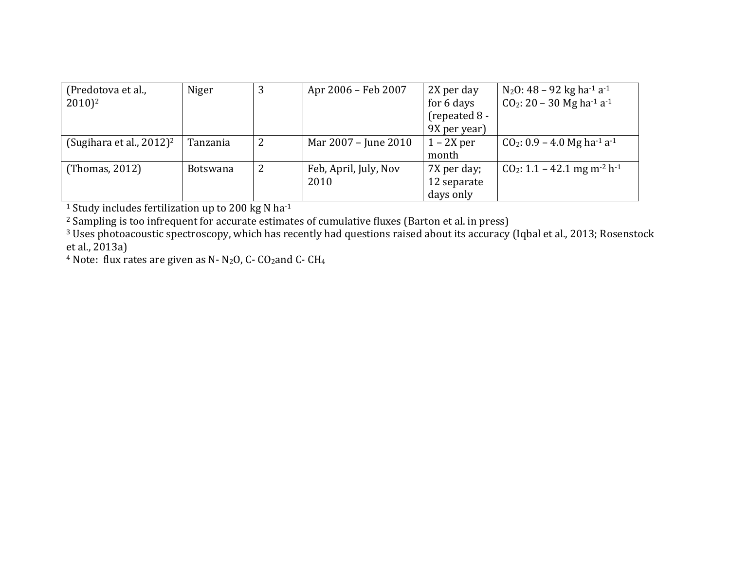| (Predotova et al.,                      | Niger           | 3 | Apr 2006 – Feb 2007   | 2X per day      | N <sub>2</sub> O: 48 – 92 kg ha <sup>-1</sup> a <sup>-1</sup> |
|-----------------------------------------|-----------------|---|-----------------------|-----------------|---------------------------------------------------------------|
| $2010)^2$                               |                 |   |                       | for 6 days      | $CO2: 20 - 30$ Mg ha <sup>-1</sup> a <sup>-1</sup>            |
|                                         |                 |   |                       | $(repeated 8 -$ |                                                               |
|                                         |                 |   |                       | 9X per year)    |                                                               |
| (Sugihara et al., $2012$ ) <sup>2</sup> | Tanzania        | 2 | Mar 2007 – June 2010  | $1 - 2X$ per    | $CO_2$ : 0.9 – 4.0 Mg ha <sup>-1</sup> a <sup>-1</sup>        |
|                                         |                 |   |                       | month           |                                                               |
| (Thomas, 2012)                          | <b>Botswana</b> | 2 | Feb, April, July, Nov | 7X per day;     | $CO_2$ : 1.1 – 42.1 mg m <sup>-2</sup> h <sup>-1</sup>        |
|                                         |                 |   | 2010                  | 12 separate     |                                                               |
|                                         |                 |   |                       | days only       |                                                               |

<sup>1</sup> Study includes fertilization up to 200 kg N ha<sup>-1</sup>

 $2$  Sampling is too infrequent for accurate estimates of cumulative fluxes (Barton et al. in press)

 $3$  Uses photoacoustic spectroscopy, which has recently had questions raised about its accuracy (Iqbal et al., 2013; Rosenstock et al., 2013a)

<sup>4</sup> Note: flux rates are given as N- N<sub>2</sub>O, C- CO<sub>2</sub>and C- CH<sub>4</sub>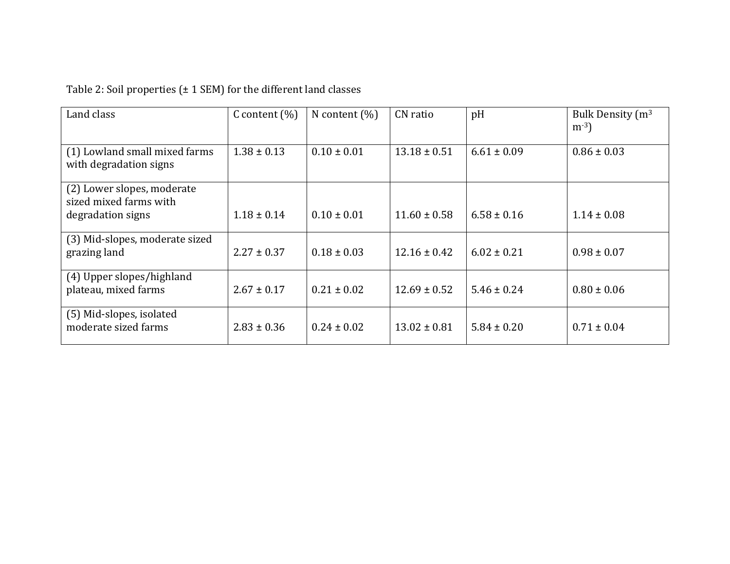## Table 2: Soil properties  $(\pm 1$  SEM) for the different land classes

| Land class                                                                | C content $(\%)$ | N content $(\%)$ | CN ratio         | pH              | Bulk Density (m <sup>3</sup><br>$m^{-3}$ |
|---------------------------------------------------------------------------|------------------|------------------|------------------|-----------------|------------------------------------------|
| (1) Lowland small mixed farms<br>with degradation signs                   | $1.38 \pm 0.13$  | $0.10 \pm 0.01$  | $13.18 \pm 0.51$ | $6.61 \pm 0.09$ | $0.86 \pm 0.03$                          |
| (2) Lower slopes, moderate<br>sized mixed farms with<br>degradation signs | $1.18 \pm 0.14$  | $0.10 \pm 0.01$  | $11.60 \pm 0.58$ | $6.58 \pm 0.16$ | $1.14 \pm 0.08$                          |
| (3) Mid-slopes, moderate sized<br>grazing land                            | $2.27 \pm 0.37$  | $0.18 \pm 0.03$  | $12.16 \pm 0.42$ | $6.02 \pm 0.21$ | $0.98 \pm 0.07$                          |
| (4) Upper slopes/highland<br>plateau, mixed farms                         | $2.67 \pm 0.17$  | $0.21 \pm 0.02$  | $12.69 \pm 0.52$ | $5.46 \pm 0.24$ | $0.80 \pm 0.06$                          |
| (5) Mid-slopes, isolated<br>moderate sized farms                          | $2.83 \pm 0.36$  | $0.24 \pm 0.02$  | $13.02 \pm 0.81$ | $5.84 \pm 0.20$ | $0.71 \pm 0.04$                          |